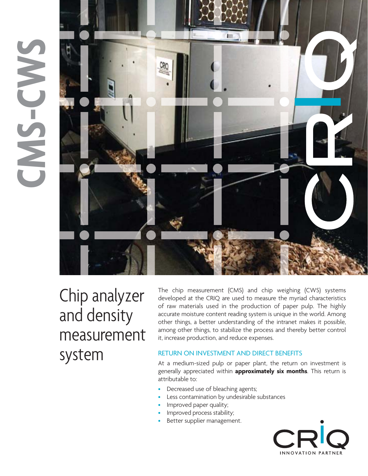## **CM S - C W S**



Chip analyzer and density measurement system

The chip measurement (CMS) and chip weighing (CWS) systems developed at the CRIQ are used to measure the myriad characteristics of raw materials used in the production of paper pulp. The highly accurate moisture content reading system is unique in the world. Among other things, a better understanding of the intranet makes it possible, among other things, to stabilize the process and thereby better control it, increase production, and reduce expenses.

#### RETURN ON INVESTMENT AND DIRECT BENEFITS

At a medium-sized pulp or paper plant, the return on investment is generally appreciated within **approximately six months**. This return is attributable to:

- Decreased use of bleaching agents;
- Less contamination by undesirable substances
- Improved paper quality;
- Improved process stability;
- Better supplier management.